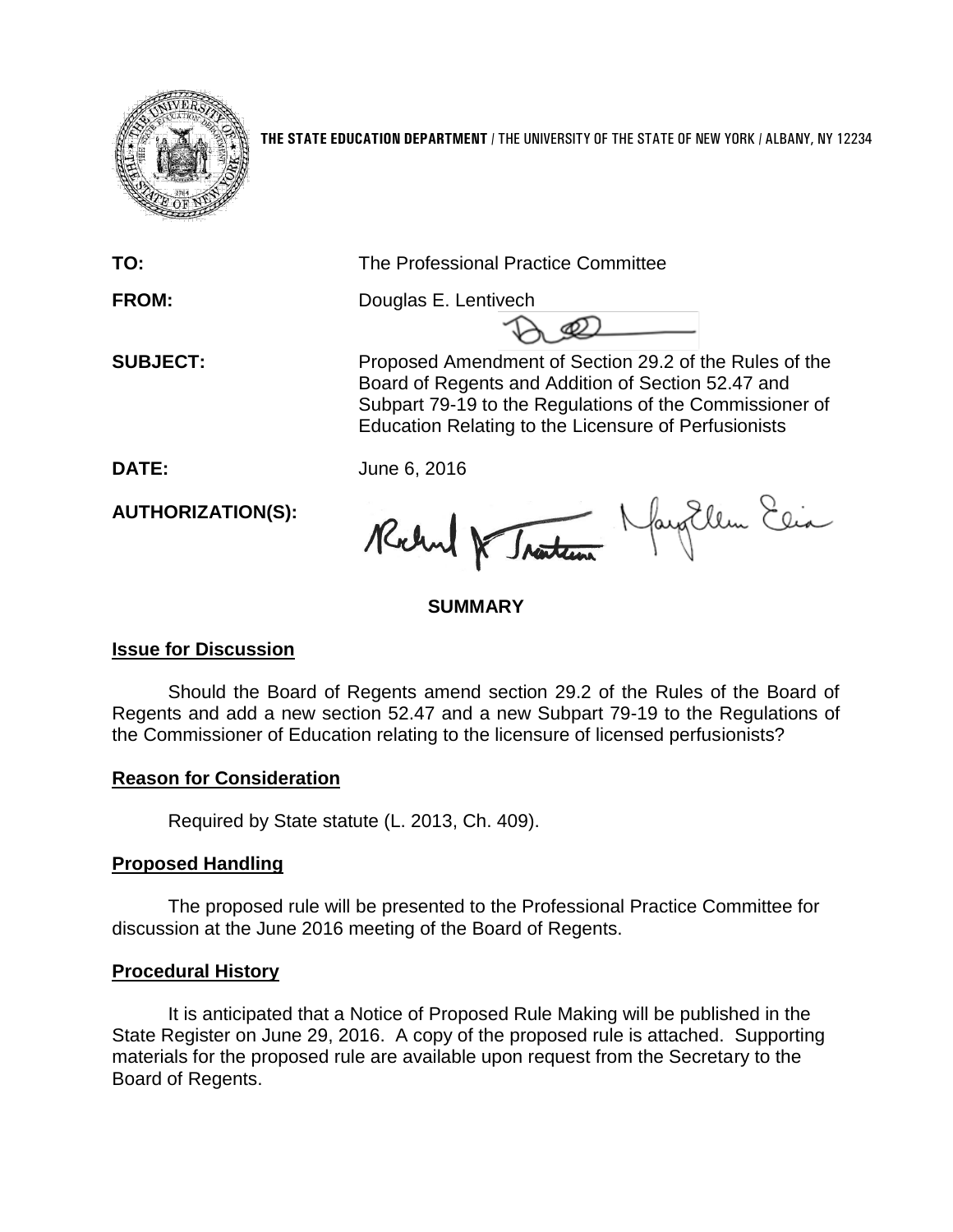

**THE STATE EDUCATION DEPARTMENT** / THE UNIVERSITY OF THE STATE OF NEW YORK / ALBANY, NY 12234

**TO:** The Professional Practice Committee

**FROM:** Douglas E. Lentivech

**SUBJECT:** Proposed Amendment of Section 29.2 of the Rules of the Board of Regents and Addition of Section 52.47 and Subpart 79-19 to the Regulations of the Commissioner of Education Relating to the Licensure of Perfusionists

**DATE:** June 6, 2016

**AUTHORIZATION(S):**

Robert & Tracteur Navy Ellen Elia

## **SUMMARY**

#### **Issue for Discussion**

Should the Board of Regents amend section 29.2 of the Rules of the Board of Regents and add a new section 52.47 and a new Subpart 79-19 to the Regulations of the Commissioner of Education relating to the licensure of licensed perfusionists?

#### **Reason for Consideration**

Required by State statute (L. 2013, Ch. 409).

#### **Proposed Handling**

The proposed rule will be presented to the Professional Practice Committee for discussion at the June 2016 meeting of the Board of Regents.

#### **Procedural History**

It is anticipated that a Notice of Proposed Rule Making will be published in the State Register on June 29, 2016. A copy of the proposed rule is attached. Supporting materials for the proposed rule are available upon request from the Secretary to the Board of Regents.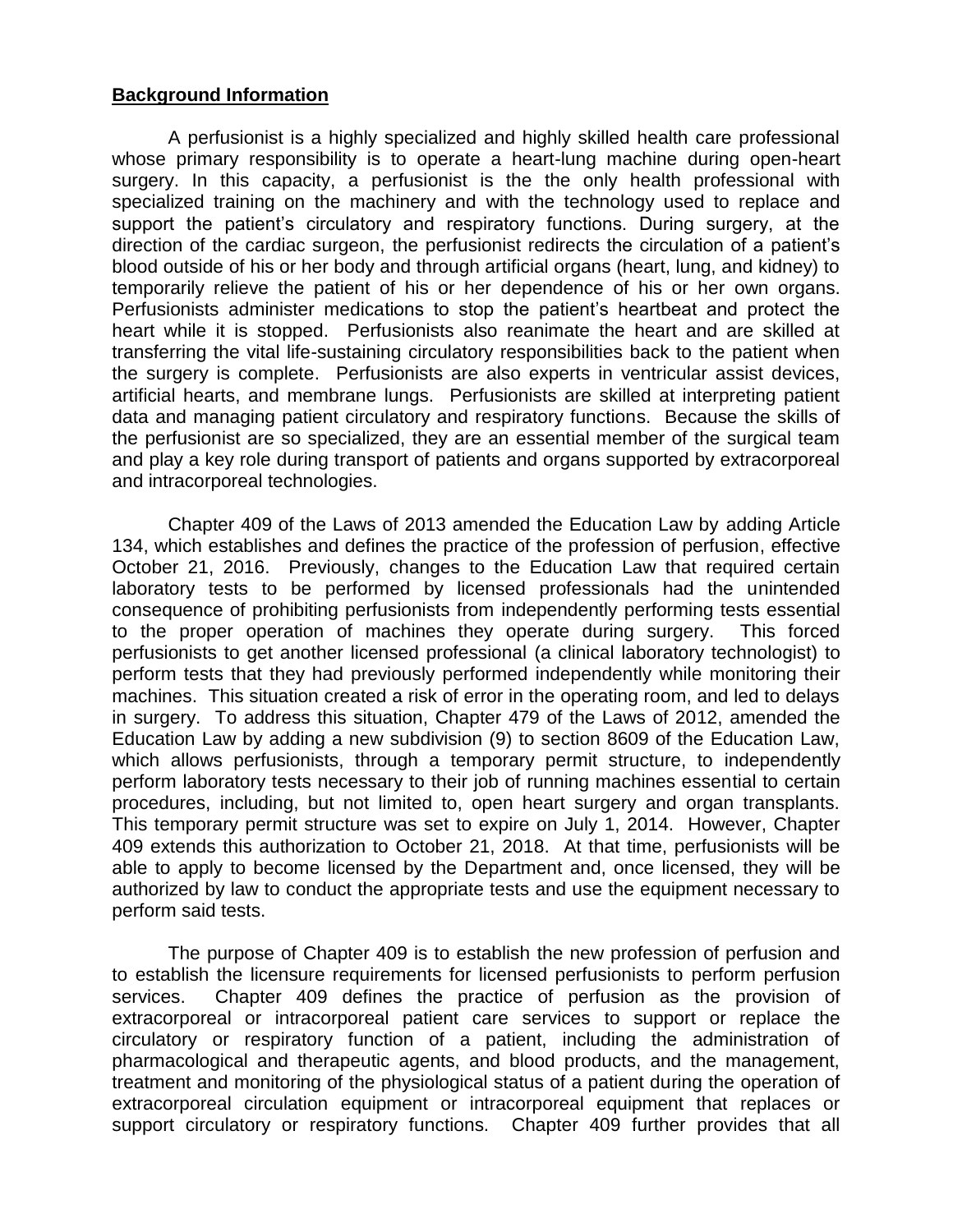#### **Background Information**

A perfusionist is a highly specialized and highly skilled health care professional whose primary responsibility is to operate a heart-lung machine during open-heart surgery. In this capacity, a perfusionist is the the only health professional with specialized training on the machinery and with the technology used to replace and support the patient's circulatory and respiratory functions. During surgery, at the direction of the cardiac surgeon, the perfusionist redirects the circulation of a patient's blood outside of his or her body and through artificial organs (heart, lung, and kidney) to temporarily relieve the patient of his or her dependence of his or her own organs. Perfusionists administer medications to stop the patient's heartbeat and protect the heart while it is stopped. Perfusionists also reanimate the heart and are skilled at transferring the vital life-sustaining circulatory responsibilities back to the patient when the surgery is complete. Perfusionists are also experts in ventricular assist devices, artificial hearts, and membrane lungs. Perfusionists are skilled at interpreting patient data and managing patient circulatory and respiratory functions. Because the skills of the perfusionist are so specialized, they are an essential member of the surgical team and play a key role during transport of patients and organs supported by extracorporeal and intracorporeal technologies.

Chapter 409 of the Laws of 2013 amended the Education Law by adding Article 134, which establishes and defines the practice of the profession of perfusion, effective October 21, 2016. Previously, changes to the Education Law that required certain laboratory tests to be performed by licensed professionals had the unintended consequence of prohibiting perfusionists from independently performing tests essential to the proper operation of machines they operate during surgery. This forced perfusionists to get another licensed professional (a clinical laboratory technologist) to perform tests that they had previously performed independently while monitoring their machines. This situation created a risk of error in the operating room, and led to delays in surgery. To address this situation, Chapter 479 of the Laws of 2012, amended the Education Law by adding a new subdivision (9) to section 8609 of the Education Law, which allows perfusionists, through a temporary permit structure, to independently perform laboratory tests necessary to their job of running machines essential to certain procedures, including, but not limited to, open heart surgery and organ transplants. This temporary permit structure was set to expire on July 1, 2014. However, Chapter 409 extends this authorization to October 21, 2018. At that time, perfusionists will be able to apply to become licensed by the Department and, once licensed, they will be authorized by law to conduct the appropriate tests and use the equipment necessary to perform said tests.

The purpose of Chapter 409 is to establish the new profession of perfusion and to establish the licensure requirements for licensed perfusionists to perform perfusion services. Chapter 409 defines the practice of perfusion as the provision of extracorporeal or intracorporeal patient care services to support or replace the circulatory or respiratory function of a patient, including the administration of pharmacological and therapeutic agents, and blood products, and the management, treatment and monitoring of the physiological status of a patient during the operation of extracorporeal circulation equipment or intracorporeal equipment that replaces or support circulatory or respiratory functions. Chapter 409 further provides that all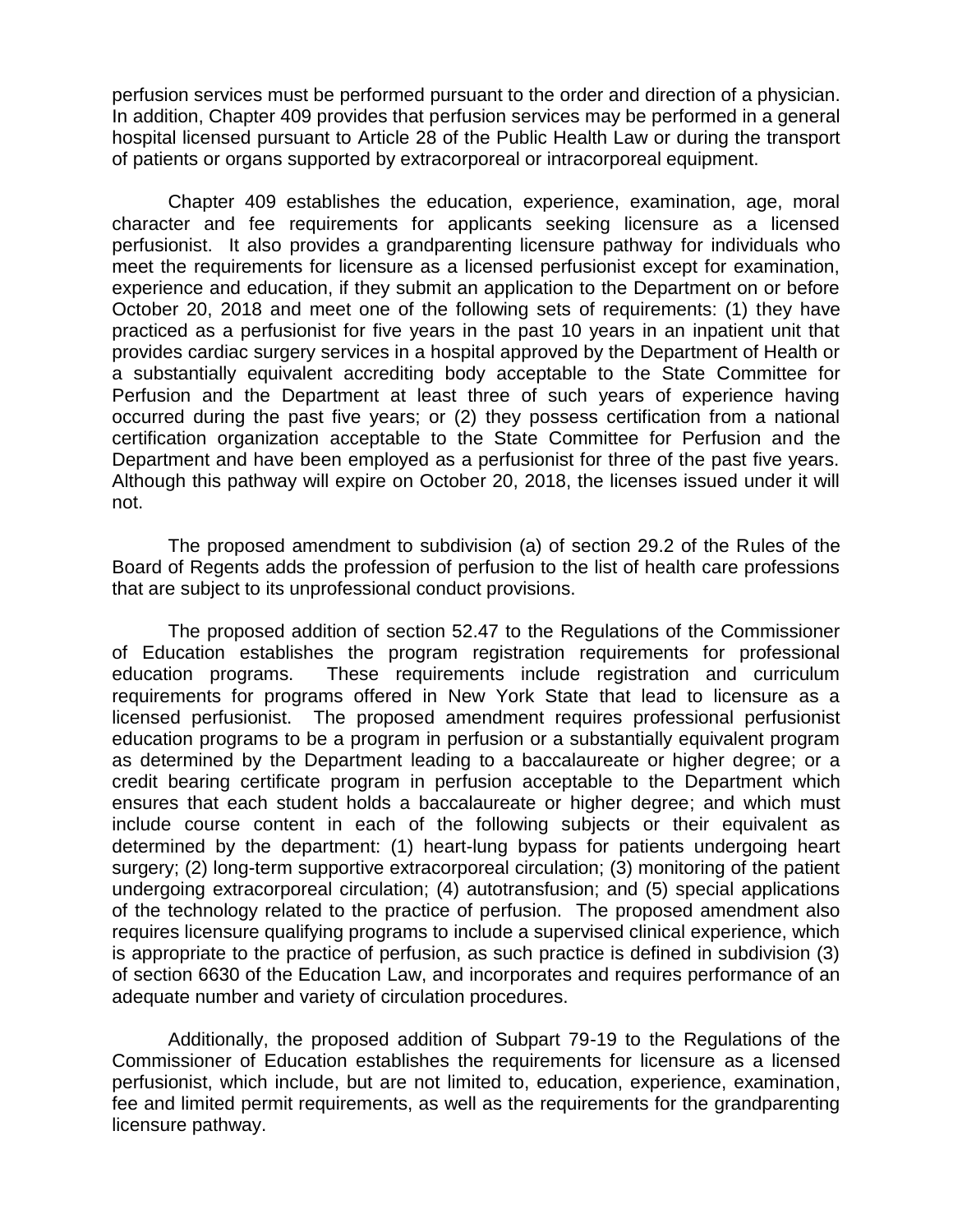perfusion services must be performed pursuant to the order and direction of a physician. In addition, Chapter 409 provides that perfusion services may be performed in a general hospital licensed pursuant to Article 28 of the Public Health Law or during the transport of patients or organs supported by extracorporeal or intracorporeal equipment.

Chapter 409 establishes the education, experience, examination, age, moral character and fee requirements for applicants seeking licensure as a licensed perfusionist. It also provides a grandparenting licensure pathway for individuals who meet the requirements for licensure as a licensed perfusionist except for examination, experience and education, if they submit an application to the Department on or before October 20, 2018 and meet one of the following sets of requirements: (1) they have practiced as a perfusionist for five years in the past 10 years in an inpatient unit that provides cardiac surgery services in a hospital approved by the Department of Health or a substantially equivalent accrediting body acceptable to the State Committee for Perfusion and the Department at least three of such years of experience having occurred during the past five years; or (2) they possess certification from a national certification organization acceptable to the State Committee for Perfusion and the Department and have been employed as a perfusionist for three of the past five years. Although this pathway will expire on October 20, 2018, the licenses issued under it will not.

The proposed amendment to subdivision (a) of section 29.2 of the Rules of the Board of Regents adds the profession of perfusion to the list of health care professions that are subject to its unprofessional conduct provisions.

The proposed addition of section 52.47 to the Regulations of the Commissioner of Education establishes the program registration requirements for professional education programs. These requirements include registration and curriculum requirements for programs offered in New York State that lead to licensure as a licensed perfusionist. The proposed amendment requires professional perfusionist education programs to be a program in perfusion or a substantially equivalent program as determined by the Department leading to a baccalaureate or higher degree; or a credit bearing certificate program in perfusion acceptable to the Department which ensures that each student holds a baccalaureate or higher degree; and which must include course content in each of the following subjects or their equivalent as determined by the department: (1) heart-lung bypass for patients undergoing heart surgery; (2) long-term supportive extracorporeal circulation; (3) monitoring of the patient undergoing extracorporeal circulation; (4) autotransfusion; and (5) special applications of the technology related to the practice of perfusion. The proposed amendment also requires licensure qualifying programs to include a supervised clinical experience, which is appropriate to the practice of perfusion, as such practice is defined in subdivision (3) of section 6630 of the Education Law, and incorporates and requires performance of an adequate number and variety of circulation procedures.

Additionally, the proposed addition of Subpart 79-19 to the Regulations of the Commissioner of Education establishes the requirements for licensure as a licensed perfusionist, which include, but are not limited to, education, experience, examination, fee and limited permit requirements, as well as the requirements for the grandparenting licensure pathway.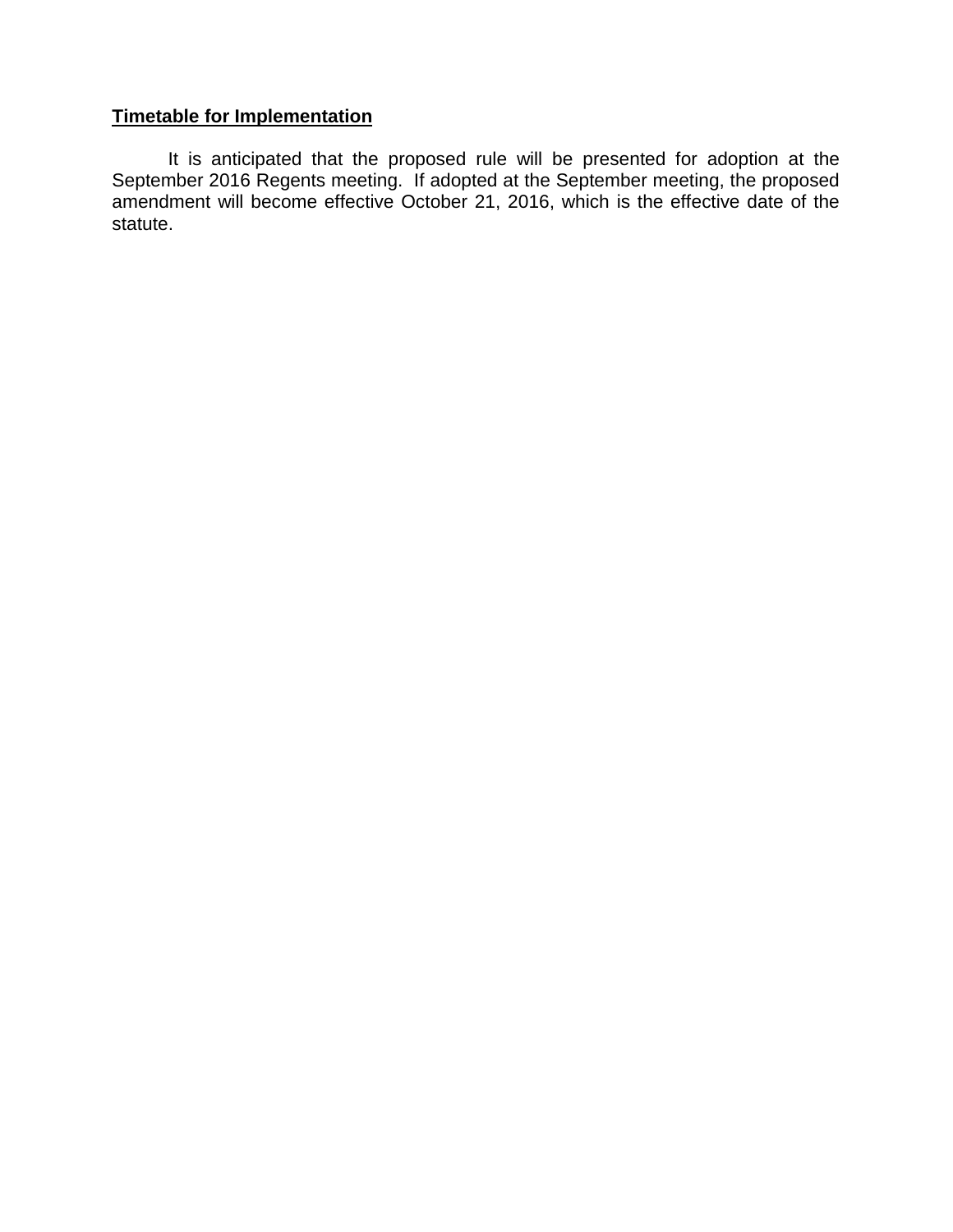# **Timetable for Implementation**

It is anticipated that the proposed rule will be presented for adoption at the September 2016 Regents meeting. If adopted at the September meeting, the proposed amendment will become effective October 21, 2016, which is the effective date of the statute.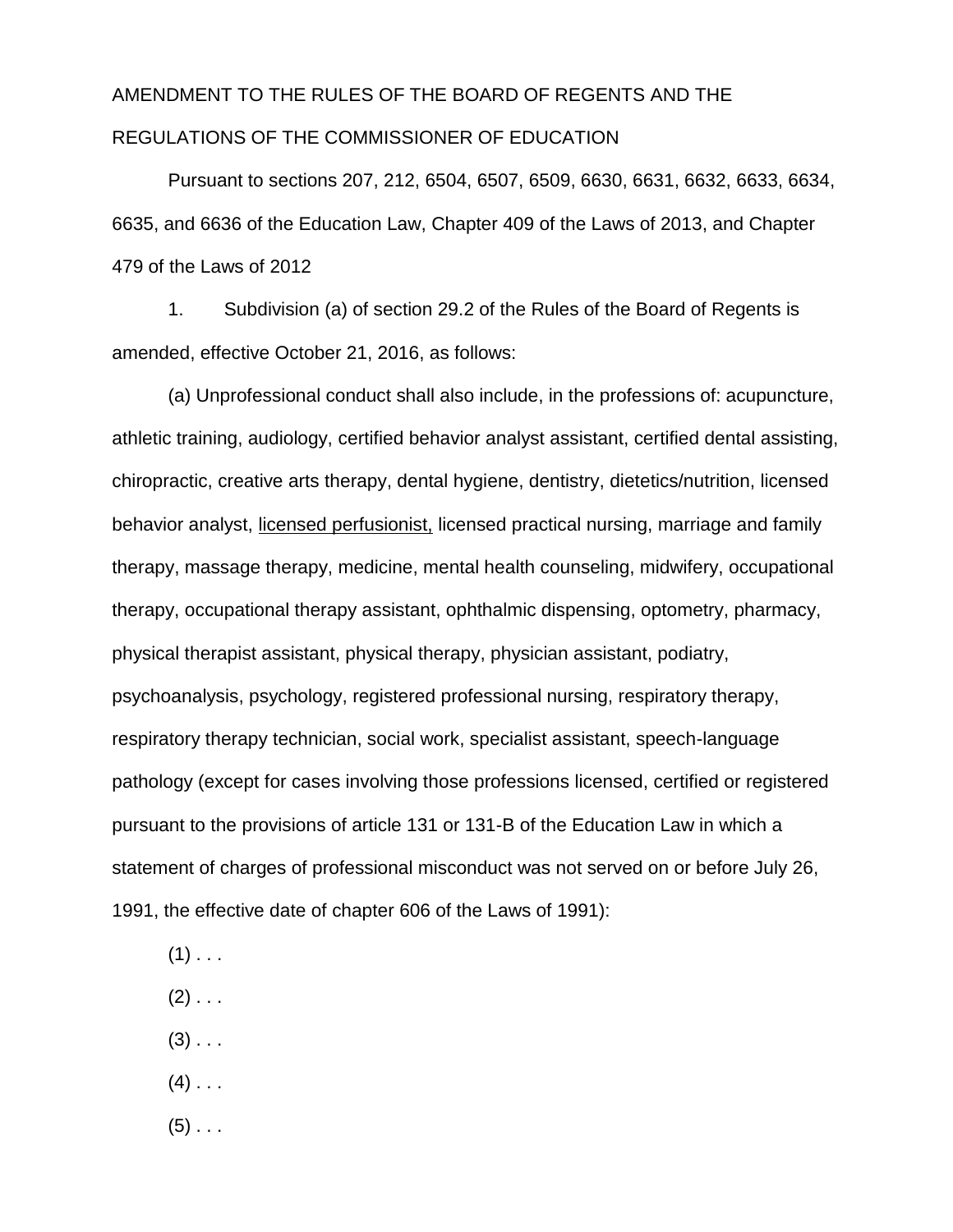# AMENDMENT TO THE RULES OF THE BOARD OF REGENTS AND THE REGULATIONS OF THE COMMISSIONER OF EDUCATION

Pursuant to sections 207, 212, 6504, 6507, 6509, 6630, 6631, 6632, 6633, 6634, 6635, and 6636 of the Education Law, Chapter 409 of the Laws of 2013, and Chapter 479 of the Laws of 2012

1. Subdivision (a) of section 29.2 of the Rules of the Board of Regents is amended, effective October 21, 2016, as follows:

(a) Unprofessional conduct shall also include, in the professions of: acupuncture, athletic training, audiology, certified behavior analyst assistant, certified dental assisting, chiropractic, creative arts therapy, dental hygiene, dentistry, dietetics/nutrition, licensed behavior analyst, licensed perfusionist, licensed practical nursing, marriage and family therapy, massage therapy, medicine, mental health counseling, midwifery, occupational therapy, occupational therapy assistant, ophthalmic dispensing, optometry, pharmacy, physical therapist assistant, physical therapy, physician assistant, podiatry, psychoanalysis, psychology, registered professional nursing, respiratory therapy, respiratory therapy technician, social work, specialist assistant, speech-language pathology (except for cases involving those professions licensed, certified or registered pursuant to the provisions of article 131 or 131-B of the Education Law in which a statement of charges of professional misconduct was not served on or before July 26, 1991, the effective date of chapter 606 of the Laws of 1991):

- $(1)$  . . .
- $(2)$  . . .
- $(3)$  . . .
- $(4)$  . . .
- $(5)$  . . .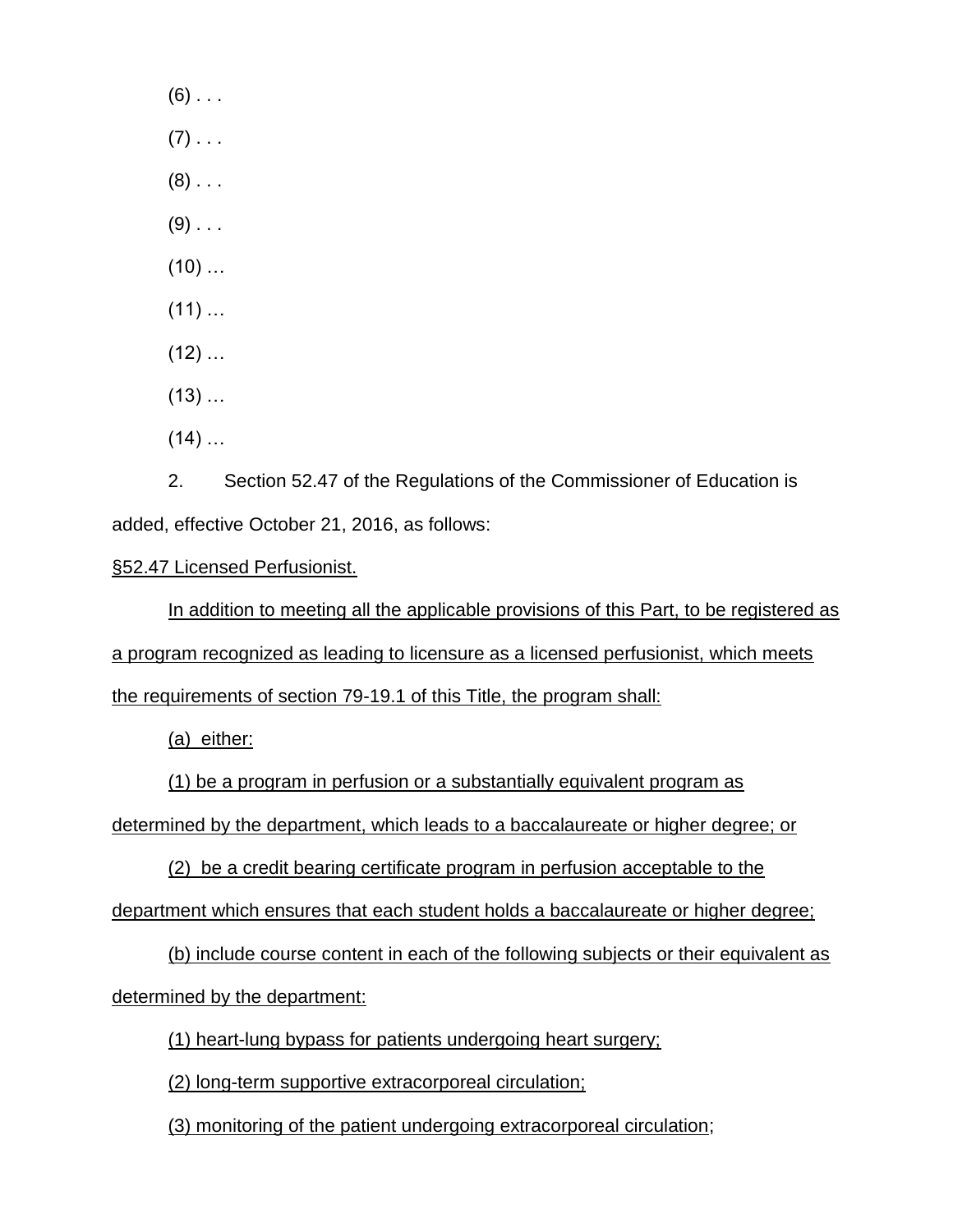$(6)$  . . .  $(7)$  . . .  $(8)$  ...  $(9)$  . . .  $(10)$  ...  $(11)$  …  $(12)$  …  $(13)$  …  $(14)$  ...

2. Section 52.47 of the Regulations of the Commissioner of Education is added, effective October 21, 2016, as follows:

§52.47 Licensed Perfusionist.

In addition to meeting all the applicable provisions of this Part, to be registered as a program recognized as leading to licensure as a licensed perfusionist, which meets the requirements of section 79-19.1 of this Title, the program shall:

(a) either:

(1) be a program in perfusion or a substantially equivalent program as

determined by the department, which leads to a baccalaureate or higher degree; or

(2) be a credit bearing certificate program in perfusion acceptable to the

department which ensures that each student holds a baccalaureate or higher degree;

(b) include course content in each of the following subjects or their equivalent as determined by the department:

(1) heart-lung bypass for patients undergoing heart surgery;

(2) long-term supportive extracorporeal circulation;

(3) monitoring of the patient undergoing extracorporeal circulation;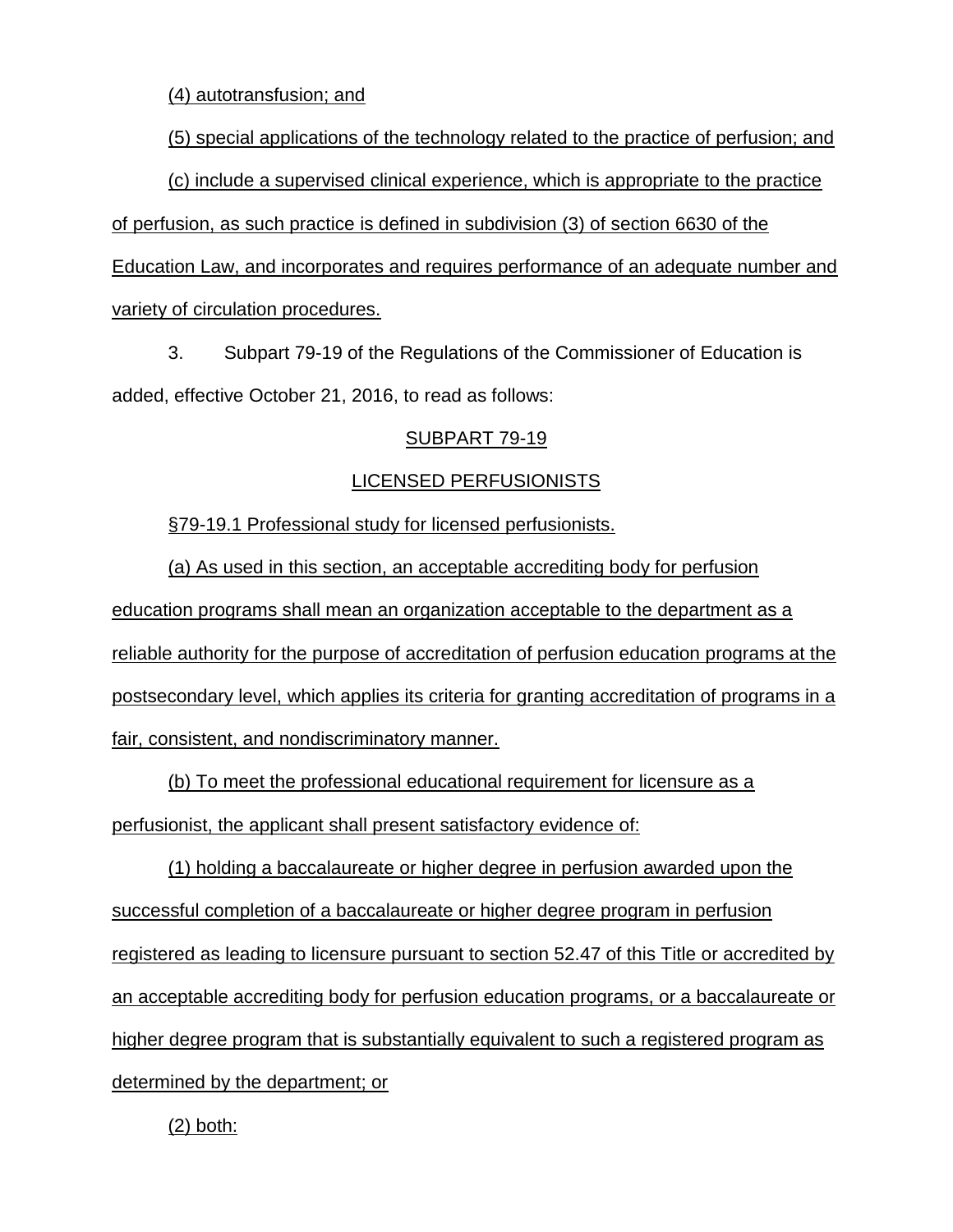(4) autotransfusion; and

(5) special applications of the technology related to the practice of perfusion; and

(c) include a supervised clinical experience, which is appropriate to the practice of perfusion, as such practice is defined in subdivision (3) of section 6630 of the Education Law, and incorporates and requires performance of an adequate number and variety of circulation procedures.

3. Subpart 79-19 of the Regulations of the Commissioner of Education is added, effective October 21, 2016, to read as follows:

# SUBPART 79-19

# LICENSED PERFUSIONISTS

§79-19.1 Professional study for licensed perfusionists.

(a) As used in this section, an acceptable accrediting body for perfusion education programs shall mean an organization acceptable to the department as a reliable authority for the purpose of accreditation of perfusion education programs at the postsecondary level, which applies its criteria for granting accreditation of programs in a fair, consistent, and nondiscriminatory manner.

(b) To meet the professional educational requirement for licensure as a perfusionist, the applicant shall present satisfactory evidence of:

(1) holding a baccalaureate or higher degree in perfusion awarded upon the successful completion of a baccalaureate or higher degree program in perfusion registered as leading to licensure pursuant to section 52.47 of this Title or accredited by an acceptable accrediting body for perfusion education programs, or a baccalaureate or higher degree program that is substantially equivalent to such a registered program as determined by the department; or

(2) both: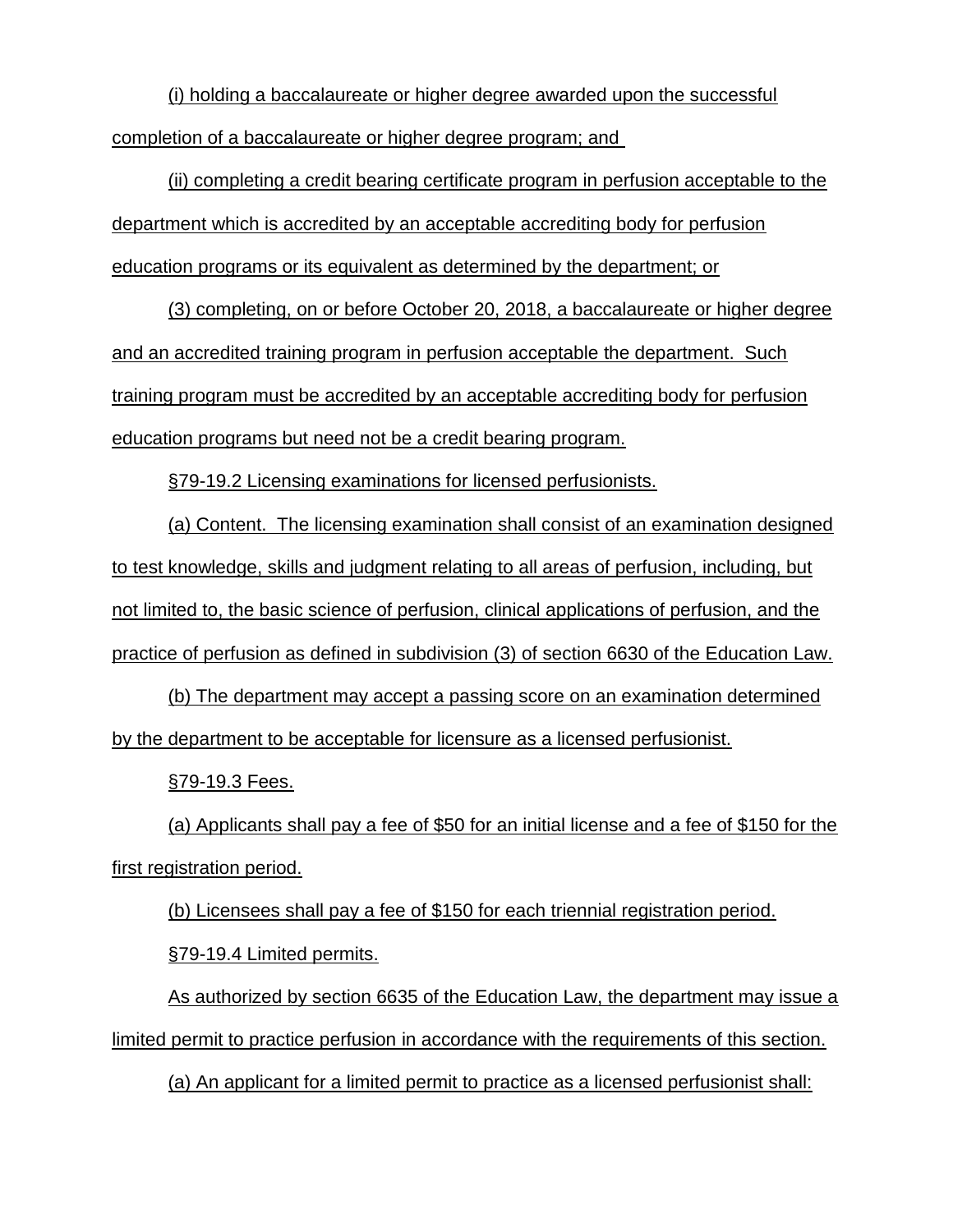(i) holding a baccalaureate or higher degree awarded upon the successful completion of a baccalaureate or higher degree program; and

(ii) completing a credit bearing certificate program in perfusion acceptable to the department which is accredited by an acceptable accrediting body for perfusion education programs or its equivalent as determined by the department; or

(3) completing, on or before October 20, 2018, a baccalaureate or higher degree and an accredited training program in perfusion acceptable the department. Such training program must be accredited by an acceptable accrediting body for perfusion education programs but need not be a credit bearing program.

§79-19.2 Licensing examinations for licensed perfusionists.

(a) Content. The licensing examination shall consist of an examination designed to test knowledge, skills and judgment relating to all areas of perfusion, including, but not limited to, the basic science of perfusion, clinical applications of perfusion, and the practice of perfusion as defined in subdivision (3) of section 6630 of the Education Law.

(b) The department may accept a passing score on an examination determined by the department to be acceptable for licensure as a licensed perfusionist.

§79-19.3 Fees.

(a) Applicants shall pay a fee of \$50 for an initial license and a fee of \$150 for the first registration period.

(b) Licensees shall pay a fee of \$150 for each triennial registration period.

§79-19.4 Limited permits.

As authorized by section 6635 of the Education Law, the department may issue a limited permit to practice perfusion in accordance with the requirements of this section.

(a) An applicant for a limited permit to practice as a licensed perfusionist shall: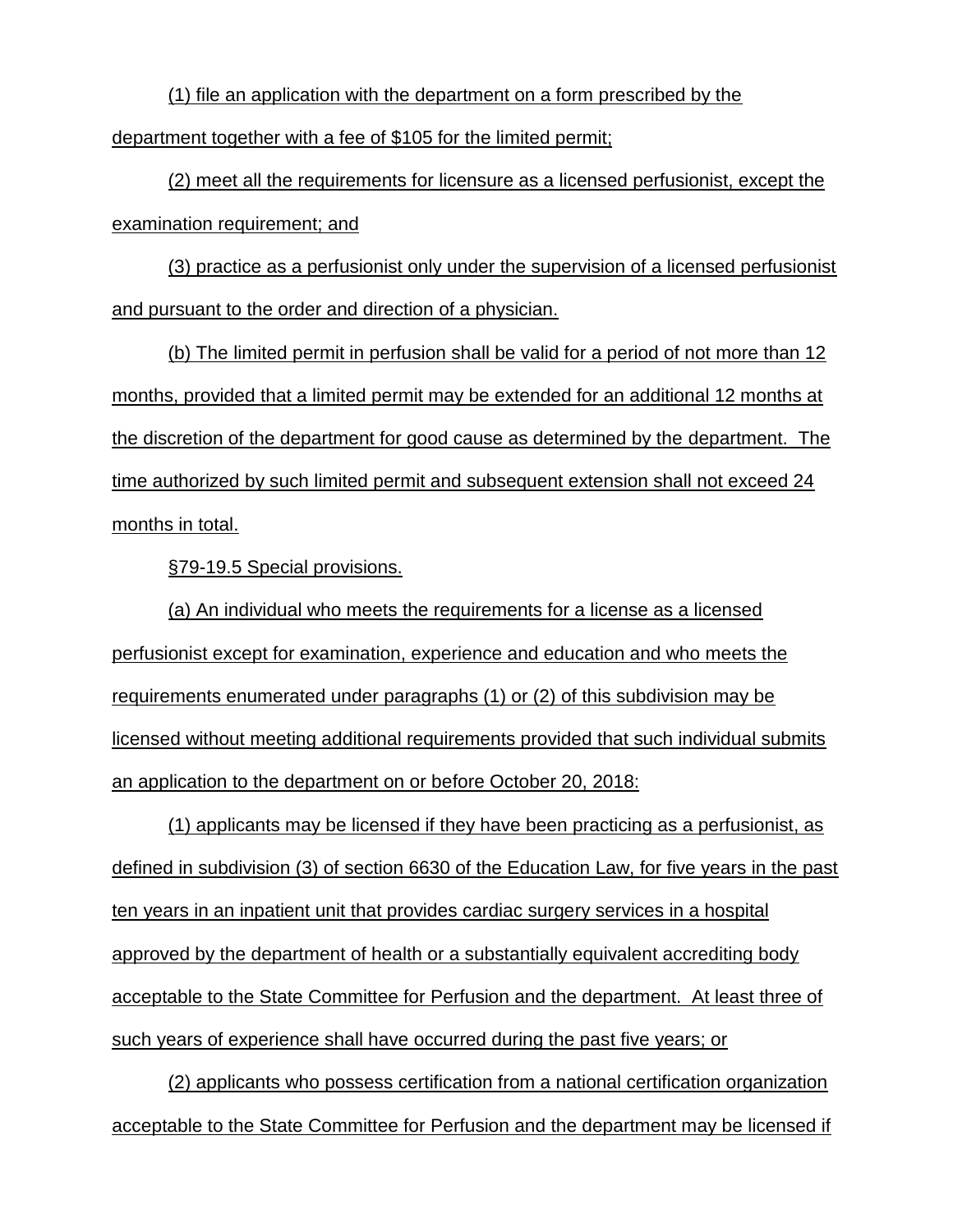(1) file an application with the department on a form prescribed by the department together with a fee of \$105 for the limited permit;

(2) meet all the requirements for licensure as a licensed perfusionist, except the examination requirement; and

(3) practice as a perfusionist only under the supervision of a licensed perfusionist and pursuant to the order and direction of a physician.

(b) The limited permit in perfusion shall be valid for a period of not more than 12 months, provided that a limited permit may be extended for an additional 12 months at the discretion of the department for good cause as determined by the department. The time authorized by such limited permit and subsequent extension shall not exceed 24 months in total.

§79-19.5 Special provisions.

(a) An individual who meets the requirements for a license as a licensed perfusionist except for examination, experience and education and who meets the requirements enumerated under paragraphs (1) or (2) of this subdivision may be licensed without meeting additional requirements provided that such individual submits an application to the department on or before October 20, 2018:

(1) applicants may be licensed if they have been practicing as a perfusionist, as defined in subdivision (3) of section 6630 of the Education Law, for five years in the past ten years in an inpatient unit that provides cardiac surgery services in a hospital approved by the department of health or a substantially equivalent accrediting body acceptable to the State Committee for Perfusion and the department. At least three of such years of experience shall have occurred during the past five years; or

(2) applicants who possess certification from a national certification organization acceptable to the State Committee for Perfusion and the department may be licensed if